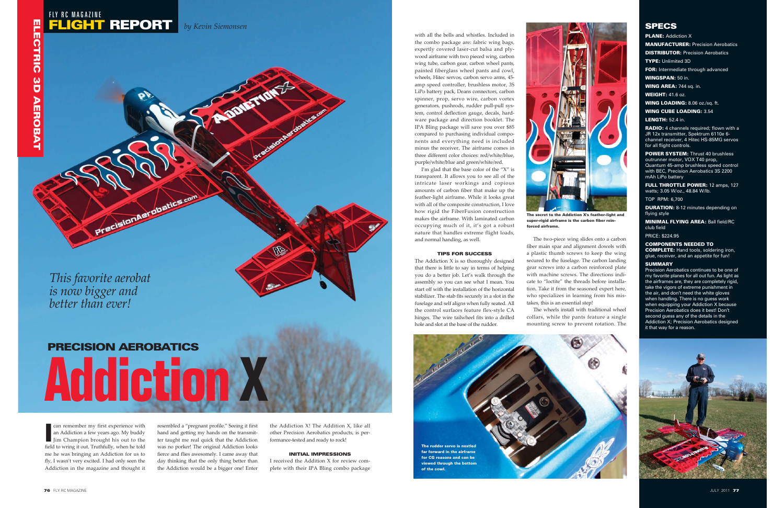with all the bells and whistles. Included in the combo package are: fabric wing bags, expertly covered laser-cut balsa and plywood airframe with two pieced wing, carbon wing tube, carbon gear, carbon wheel pants, painted fiberglass wheel pants and cowl, wheels, Hitec servos, carbon servo arms, 45 amp speed controller, brushless motor, 3S LiPo battery pack, Deans connectors, carbon spinner, prop, servo wire, carbon vortex generators, pushrods, rudder pull-pull system, control deflection gauge, decals, hardware package and direction booklet. The IPA Bling package will save you over \$85 compared to purchasing individual components and everything need is included minus the receiver. The airframe comes in three different color choices: red/white/blue, purple/white/blue and green/white/red.

I'm glad that the base color of the "X" is transparent. It allows you to see all of the intricate laser workings and copious amounts of carbon fiber that make up the feather-light airframe. While it looks great with all of the composite construction, I love how rigid the FiberFusion construction makes the airframe. With laminated carbon occupying much of it, it's got a robust nature that handles extreme flight loads, and normal handing, as well.

### TIPS FOR SUCCESS

The Addiction X is so thoroughly designed that there is little to say in terms of helping you do a better job. Let's walk through the assembly so you can see what I mean. You start off with the installation of the horizontal stabilizer. The stab fits securely in a slot in the fuselage and self aligns when fully seated. All the control surfaces feature flex-style CA hinges. The wire tailwheel fits into a drilled hole and slot at the base of the rudder.

**PLANE: Addiction X** MANUFACTURER: Precision Aerobatics **DISTRIBUTOR: Precision Aerobatics** TYPE: Unlimited 3D **FOR:** Intermediate through advanced WINGSPAN: 50 in.

WING AREA: 744 sq. in.

The two-piece wing slides onto a carbon fiber main spar and alignment dowels with a plastic thumb screws to keep the wing secured to the fuselage. The carbon landing gear screws into a carbon reinforced plate with machine screws. The directions indicate to "loctite" the threads before installation. Take it from the seasoned expert here, who specializes in learning from his mistakes, this is an essential step!

FULL THROTTLE POWER: 12 amps, 127 watts; 3.05 W/oz., 48.84 W/lb.

The wheels install with traditional wheel collars, while the pants feature a single mounting screw to prevent rotation. The

Ican remember my first experience with an Addiction a few years ago. My buddy Jim Champion brought his out to the field to wring it out. Truthfully, when he told me he was bringing an Addiction for us to fly, I wasn't very excited. I had only seen the Addiction in the magazine and thought it

resembled a "pregnant profile." Seeing it first hand and getting my hands on the transmitter taught me real quick that the Addiction was no porker! The original Addiction looks fierce and flies awesomely. I came away that day thinking that the only thing better than the Addiction would be a bigger one! Enter

the Addiction X! The Addition X, like all other Precision Aerobatics products, is performance-tested and ready to rock!

## INITIAL IMPRESSIONS

I received the Addition X for review complete with their IPA Bling combo package



WEIGHT: 41.6 oz.

WING LOADING: 8.06 oz./sq. ft.

WING CUBE LOADING: 3.54

LENGTH: 52.4 in.

**RADIO:** 4 channels required; flown with a JR 12x transmitter, Spektrum 6110e 6 channel receiver, 4 Hitec HS-85MG servos for all flight controls.

POWER SYSTEM: Thrust 40 brushless outrunner motor, VOX T40 prop, Quantum 45-amp brushless speed control with BEC, Precision Aerobatics 3S 2200 mAh LiPo battery

TOP RPM: 6,700

DURATION: 8-12 minutes depending on flying style

MINIMAL FLYING AREA: Ball field/RC club field

PRICE: \$224.95

COMPONENTS NEEDED TO COMPLETE: Hand tools, soldering iron, glue, receiver, and an appetite for fun!

### **SUMMARY**

Precision Aerobatics continues to be one of my favorite planes for all out fun. As light as the airframes are, they are completely rigid, take the vigors of extreme punishment in the air, and don't need the white gloves when handling. There is no guess work when equipping your Addiction X because Precision Aerobatics does it best! Don't second guess any of the details in the Addiction X; Precision Aerobatics designed it that way for a reason.





The secret to the Addiction X's feather-light and super-rigid airframe is the carbon fiber reinforced airframe.



# **SPECS**